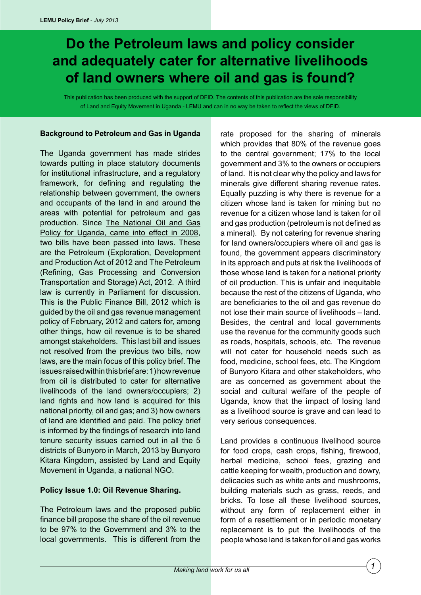# **Do the Petroleum laws and policy consider and adequately cater for alternative livelihoods of land owners where oil and gas is found?**

This publication has been produced with the support of DFID. The contents of this publication are the sole responsibility of Land and Equity Movement in Uganda - LEMU and can in no way be taken to reflect the views of DFID.

#### **Background to Petroleum and Gas in Uganda**

The Uganda government has made strides towards putting in place statutory documents for institutional infrastructure, and a regulatory framework, for defining and regulating the relationship between government, the owners and occupants of the land in and around the areas with potential for petroleum and gas production. Since The National Oil and Gas Policy for Uganda, came into effect in 2008, two bills have been passed into laws. These are the Petroleum (Exploration, Development and Production Act of 2012 and The Petroleum (Refining, Gas Processing and Conversion Transportation and Storage) Act, 2012. A third law is currently in Parliament for discussion. This is the Public Finance Bill, 2012 which is guided by the oil and gas revenue management policy of February, 2012 and caters for, among other things, how oil revenue is to be shared amongst stakeholders. This last bill and issues not resolved from the previous two bills, now laws, are the main focus of this policy brief. The issues raised within this brief are: 1) how revenue from oil is distributed to cater for alternative livelihoods of the land owners/occupiers; 2) land rights and how land is acquired for this national priority, oil and gas; and 3) how owners of land are identified and paid. The policy brief is informed by the findings of research into land tenure security issues carried out in all the 5 districts of Bunyoro in March, 2013 by Bunyoro Kitara Kingdom, assisted by Land and Equity Movement in Uganda, a national NGO.

## **Policy Issue 1.0: Oil Revenue Sharing.**

The Petroleum laws and the proposed public finance bill propose the share of the oil revenue to be 97% to the Government and 3% to the local governments. This is different from the rate proposed for the sharing of minerals which provides that 80% of the revenue goes to the central government; 17% to the local government and 3% to the owners or occupiers of land. It is not clear why the policy and laws for minerals give different sharing revenue rates. Equally puzzling is why there is revenue for a citizen whose land is taken for mining but no revenue for a citizen whose land is taken for oil and gas production (petroleum is not defined as a mineral). By not catering for revenue sharing for land owners/occupiers where oil and gas is found, the government appears discriminatory in its approach and puts at risk the livelihoods of those whose land is taken for a national priority of oil production. This is unfair and inequitable because the rest of the citizens of Uganda, who are beneficiaries to the oil and gas revenue do not lose their main source of livelihoods – land. Besides, the central and local governments use the revenue for the community goods such as roads, hospitals, schools, etc. The revenue will not cater for household needs such as food, medicine, school fees, etc. The Kingdom of Bunyoro Kitara and other stakeholders, who are as concerned as government about the social and cultural welfare of the people of Uganda, know that the impact of losing land as a livelihood source is grave and can lead to very serious consequences.

Land provides a continuous livelihood source for food crops, cash crops, fishing, firewood, herbal medicine, school fees, grazing and cattle keeping for wealth, production and dowry, delicacies such as white ants and mushrooms, building materials such as grass, reeds, and bricks. To lose all these livelihood sources, without any form of replacement either in form of a resettlement or in periodic monetary replacement is to put the livelihoods of the people whose land is taken for oil and gas works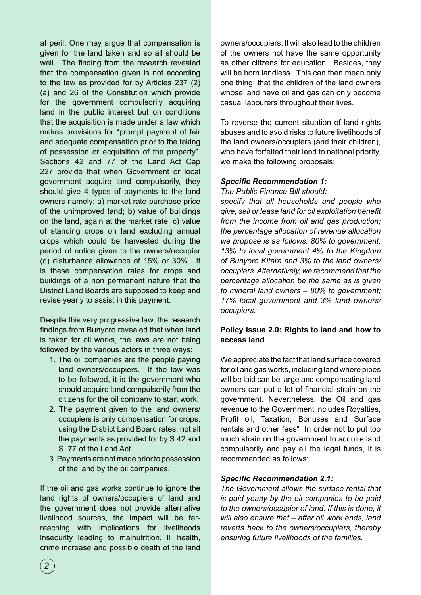at peril. One may argue that compensation is given for the land taken and so all should be well. The finding from the research revealed that the compensation given is not according to the law as provided for by Articles 237 (2) (a) and 26 of the Constitution which provide for the government compulsorily acquiring land in the public interest but on conditions that the acquisition is made under a law which makes provisions for "prompt payment of fair and adequate compensation prior to the taking of possession or acquisition of the property". Sections 42 and 77 of the Land Act Cap 227 provide that when Government or local government acquire land compulsorily, they should give 4 types of payments to the land owners namely: a) market rate purchase price of the unimproved land; b) value of buildings on the land, again at the market rate; c) value of standing crops on land excluding annual crops which could be harvested during the period of notice given to the owners/occupier (d) disturbance allowance of 15% or 30%. It is these compensation rates for crops and buildings of a non permanent nature that the District Land Boards are supposed to keep and revise yearly to assist in this payment.

Despite this very progressive law, the research findings from Bunyoro revealed that when land is taken for oil works, the laws are not being followed by the various actors in three ways:

- 1. The oil companies are the people paying land owners/occupiers. If the law was to be followed, it is the government who should acquire land compulsorily from the citizens for the oil company to start work.
- 2. The payment given to the land owners/ occupiers is only compensation for crops, using the District Land Board rates, not all the payments as provided for by S.42 and S. 77 of the Land Act.
- 3. Payments are not made prior to possession of the land by the oil companies.

If the oil and gas works continue to ignore the land rights of owners/occupiers of land and the government does not provide alternative livelihood sources, the impact will be farreaching with implications for livelihoods insecurity leading to malnutrition, ill health, crime increase and possible death of the land owners/occupiers. It will also lead to the children of the owners not have the same opportunity as other citizens for education. Besides, they will be born landless. This can then mean only one thing: that the children of the land owners whose land have oil and gas can only become casual labourers throughout their lives.

To reverse the current situation of land rights abuses and to avoid risks to future livelihoods of the land owners/occupiers (and their children), who have forfeited their land to national priority, we make the following proposals:

# *Specific Recommendation 1:*

*The Public Finance Bill should:* 

*specify that all households and people who give, sell or lease land for oil exploitation benefit from the income from oil and gas production; the percentage allocation of revenue allocation we propose is as follows: 80% to government; 13% to local government 4% to the Kingdom of Bunyoro Kitara and 3% to the land owners/ occupiers. Alternatively, we recommend that the percentage allocation be the same as is given to mineral land owners – 80% to government; 17% local government and 3% land owners/ occupiers.*

# **Policy Issue 2.0: Rights to land and how to access land**

We appreciate the fact that land surface covered for oil and gas works, including land where pipes will be laid can be large and compensating land owners can put a lot of financial strain on the government. Nevertheless, the Oil and gas revenue to the Government includes Royalties, Profit oil, Taxation, Bonuses and Surface rentals and other fees" In order not to put too much strain on the government to acquire land compulsorily and pay all the legal funds, it is recommended as follows:

## *Specific Recommendation 2.1:*

*The Government allows the surface rental that is paid yearly by the oil companies to be paid to the owners/occupier of land. If this is done, it will also ensure that – after oil work ends, land reverts back to the owners/occupiers, thereby ensuring future livelihoods of the families.*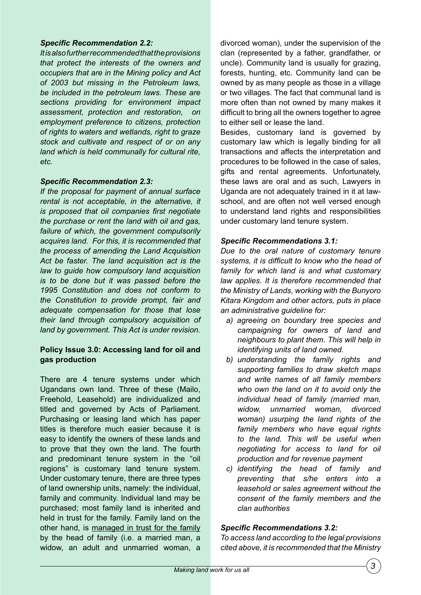## *Specific Recommendation 2.2:*

*It is also further recommended that the provisions that protect the interests of the owners and occupiers that are in the Mining policy and Act of 2003 but missing in the Petroleum laws, be included in the petroleum laws. These are sections providing for environment impact assessment, protection and restoration, on employment preference to citizens, protection of rights to waters and wetlands, right to graze stock and cultivate and respect of or on any land which is held communally for cultural rite, etc.*

## *Specific Recommendation 2.3:*

*If the proposal for payment of annual surface rental is not acceptable, in the alternative, it is proposed that oil companies first negotiate the purchase or rent the land with oil and gas, failure of which, the government compulsorily acquires land. For this, it is recommended that the process of amending the Land Acquisition Act be faster. The land acquisition act is the law to guide how compulsory land acquisition is to be done but it was passed before the 1995 Constitution and does not conform to the Constitution to provide prompt, fair and adequate compensation for those that lose their land through compulsory acquisition of land by government. This Act is under revision.*

# **Policy Issue 3.0: Accessing land for oil and gas production**

There are 4 tenure systems under which Ugandans own land. Three of these (Mailo, Freehold, Leasehold) are individualized and titled and governed by Acts of Parliament. Purchasing or leasing land which has paper titles is therefore much easier because it is easy to identify the owners of these lands and to prove that they own the land. The fourth and predominant tenure system in the "oil regions" is customary land tenure system. Under customary tenure, there are three types of land ownership units, namely: the individual, family and community. Individual land may be purchased; most family land is inherited and held in trust for the family. Family land on the other hand, is managed in trust for the family by the head of family (i.e. a married man, a widow, an adult and unmarried woman, a divorced woman), under the supervision of the clan (represented by a father, grandfather, or uncle). Community land is usually for grazing, forests, hunting, etc. Community land can be owned by as many people as those in a village or two villages. The fact that communal land is more often than not owned by many makes it difficult to bring all the owners together to agree to either sell or lease the land.

Besides, customary land is governed by customary law which is legally binding for all transactions and affects the interpretation and procedures to be followed in the case of sales, gifts and rental agreements. Unfortunately, these laws are oral and as such, Lawyers in Uganda are not adequately trained in it at lawschool, and are often not well versed enough to understand land rights and responsibilities under customary land tenure system.

## *Specific Recommendations 3.1:*

*Due to the oral nature of customary tenure systems, it is difficult to know who the head of family for which land is and what customary law applies. It is therefore recommended that the Ministry of Lands, working with the Bunyoro Kitara Kingdom and other actors, puts in place an administrative guideline for:*

- *a) agreeing on boundary tree species and campaigning for owners of land and neighbours to plant them. This will help in identifying units of land owned.*
- *b) understanding the family rights and supporting families to draw sketch maps and write names of all family members who own the land on it to avoid only the individual head of family (married man, widow, unmarried woman, divorced woman) usurping the land rights of the family members who have equal rights to the land. This will be useful when negotiating for access to land for oil production and for revenue payment*
- *c) identifying the head of family and preventing that s/he enters into a leasehold or sales agreement without the consent of the family members and the clan authorities*

## *Specific Recommendations 3.2:*

*To access land according to the legal provisions cited above, it is recommended that the Ministry*